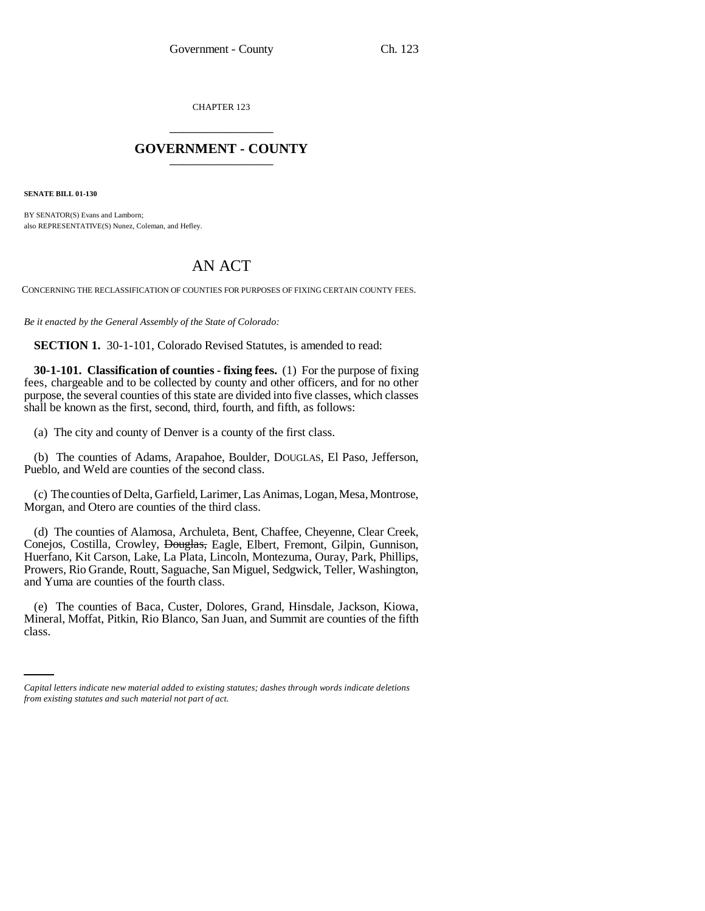CHAPTER 123 \_\_\_\_\_\_\_\_\_\_\_\_\_\_\_

## **GOVERNMENT - COUNTY** \_\_\_\_\_\_\_\_\_\_\_\_\_\_\_

**SENATE BILL 01-130**

BY SENATOR(S) Evans and Lamborn: also REPRESENTATIVE(S) Nunez, Coleman, and Hefley.

## AN ACT

CONCERNING THE RECLASSIFICATION OF COUNTIES FOR PURPOSES OF FIXING CERTAIN COUNTY FEES.

*Be it enacted by the General Assembly of the State of Colorado:*

**SECTION 1.** 30-1-101, Colorado Revised Statutes, is amended to read:

**30-1-101. Classification of counties - fixing fees.** (1) For the purpose of fixing fees, chargeable and to be collected by county and other officers, and for no other purpose, the several counties of this state are divided into five classes, which classes shall be known as the first, second, third, fourth, and fifth, as follows:

(a) The city and county of Denver is a county of the first class.

(b) The counties of Adams, Arapahoe, Boulder, DOUGLAS, El Paso, Jefferson, Pueblo, and Weld are counties of the second class.

(c) The counties of Delta, Garfield, Larimer, Las Animas, Logan, Mesa, Montrose, Morgan, and Otero are counties of the third class.

(d) The counties of Alamosa, Archuleta, Bent, Chaffee, Cheyenne, Clear Creek, Conejos, Costilla, Crowley, <del>Douglas,</del> Eagle, Elbert, Fremont, Gilpin, Gunnison, Huerfano, Kit Carson, Lake, La Plata, Lincoln, Montezuma, Ouray, Park, Phillips, Prowers, Rio Grande, Routt, Saguache, San Miguel, Sedgwick, Teller, Washington, and Yuma are counties of the fourth class.

Mineral, Moffat, Pitkin, Rio Blanco, San Juan, and Summit are counties of the fifth (e) The counties of Baca, Custer, Dolores, Grand, Hinsdale, Jackson, Kiowa, class.

*Capital letters indicate new material added to existing statutes; dashes through words indicate deletions from existing statutes and such material not part of act.*